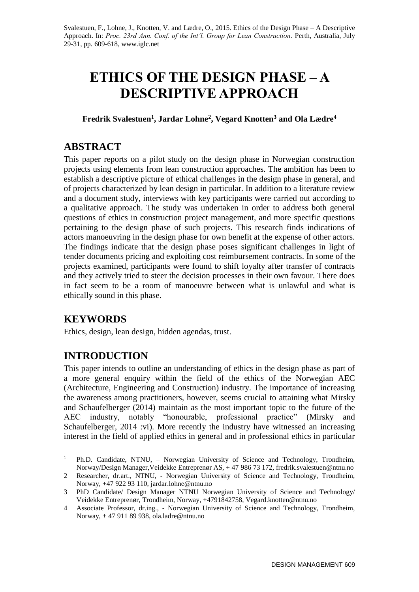# **ETHICS OF THE DESIGN PHASE – A DESCRIPTIVE APPROACH**

**Fredrik Svalestuen<sup>1</sup> , Jardar Lohne<sup>2</sup> , Vegard Knotten<sup>3</sup> and Ola Lædre<sup>4</sup>**

# **ABSTRACT**

This paper reports on a pilot study on the design phase in Norwegian construction projects using elements from lean construction approaches. The ambition has been to establish a descriptive picture of ethical challenges in the design phase in general, and of projects characterized by lean design in particular. In addition to a literature review and a document study, interviews with key participants were carried out according to a qualitative approach. The study was undertaken in order to address both general questions of ethics in construction project management, and more specific questions pertaining to the design phase of such projects. This research finds indications of actors manoeuvring in the design phase for own benefit at the expense of other actors. The findings indicate that the design phase poses significant challenges in light of tender documents pricing and exploiting cost reimbursement contracts. In some of the projects examined, participants were found to shift loyalty after transfer of contracts and they actively tried to steer the decision processes in their own favour. There does in fact seem to be a room of manoeuvre between what is unlawful and what is ethically sound in this phase.

# **KEYWORDS**

Ethics, design, lean design, hidden agendas, trust.

# **INTRODUCTION**

This paper intends to outline an understanding of ethics in the design phase as part of a more general enquiry within the field of the ethics of the Norwegian AEC (Architecture, Engineering and Construction) industry. The importance of increasing the awareness among practitioners, however, seems crucial to attaining what Mirsky and Schaufelberger (2014) maintain as the most important topic to the future of the AEC industry, notably "honourable, professional practice" (Mirsky and Schaufelberger, 2014 :vi). More recently the industry have witnessed an increasing interest in the field of applied ethics in general and in professional ethics in particular

 $\mathbf{1}$ <sup>1</sup> Ph.D. Candidate, NTNU, – Norwegian University of Science and Technology, Trondheim, Norway/Design Manager,Veidekke Entreprenør AS, + 47 986 73 172, [fredrik.svalestuen@ntnu.no](mailto:fredrik.svalestuen@ntnu.no)

<sup>2</sup> Researcher, dr.art., NTNU, - Norwegian University of Science and Technology, Trondheim, Norway, +47 922 93 110, [jardar.lohne@ntnu.no](mailto:jardar.lohne@ntnu.no)

<sup>3</sup> PhD Candidate/ Design Manager NTNU Norwegian University of Science and Technology/ Veidekke Entreprenør, Trondheim, Norway, +4791842758, Vegard.knotten@ntnu.no

<sup>4</sup> Associate Professor, dr.ing., - Norwegian University of Science and Technology, Trondheim, Norway, + 47 911 89 938[, ola.ladre@ntnu.no](mailto:ola.ladre@ntnu.no)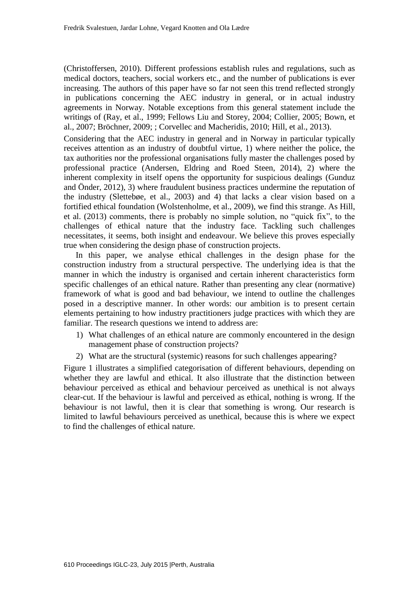(Christoffersen, 2010). Different professions establish rules and regulations, such as medical doctors, teachers, social workers etc., and the number of publications is ever increasing. The authors of this paper have so far not seen this trend reflected strongly in publications concerning the AEC industry in general, or in actual industry agreements in Norway. Notable exceptions from this general statement include the writings of (Ray, et al., 1999; Fellows Liu and Storey, 2004; Collier, 2005; Bown, et al., 2007; Bröchner, 2009; ; Corvellec and Macheridis, 2010; Hill, et al., 2013).

Considering that the AEC industry in general and in Norway in particular typically receives attention as an industry of doubtful virtue, 1) where neither the police, the tax authorities nor the professional organisations fully master the challenges posed by professional practice (Andersen, Eldring and Roed Steen, 2014), 2) where the inherent complexity in itself opens the opportunity for suspicious dealings (Gunduz and Önder, 2012), 3) where fraudulent business practices undermine the reputation of the industry [\(Slettebøe, et al., 2003\)](#page-9-0) and 4) that lacks a clear vision based on a fortified ethical foundation [\(Wolstenholme, et al., 2009\)](#page-9-1), we find this strange. As Hill, et al. (2013) comments, there is probably no simple solution, no "quick fix", to the challenges of ethical nature that the industry face. Tackling such challenges necessitates, it seems, both insight and endeavour. We believe this proves especially true when considering the design phase of construction projects.

In this paper, we analyse ethical challenges in the design phase for the construction industry from a structural perspective. The underlying idea is that the manner in which the industry is organised and certain inherent characteristics form specific challenges of an ethical nature. Rather than presenting any clear (normative) framework of what is good and bad behaviour, we intend to outline the challenges posed in a descriptive manner. In other words: our ambition is to present certain elements pertaining to how industry practitioners judge practices with which they are familiar. The research questions we intend to address are:

- 1) What challenges of an ethical nature are commonly encountered in the design management phase of construction projects?
- 2) What are the structural (systemic) reasons for such challenges appearing?

Figure 1 illustrates a simplified categorisation of different behaviours, depending on whether they are lawful and ethical. It also illustrate that the distinction between behaviour perceived as ethical and behaviour perceived as unethical is not always clear-cut. If the behaviour is lawful and perceived as ethical, nothing is wrong. If the behaviour is not lawful, then it is clear that something is wrong. Our research is limited to lawful behaviours perceived as unethical, because this is where we expect to find the challenges of ethical nature.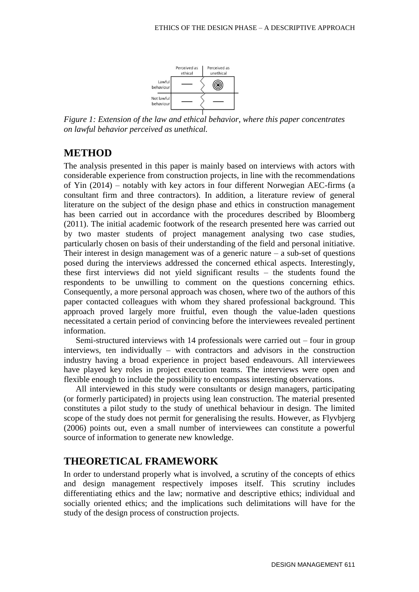

*Figure 1: Extension of the law and ethical behavior, where this paper concentrates on lawful behavior perceived as unethical.*

### **METHOD**

The analysis presented in this paper is mainly based on interviews with actors with considerable experience from construction projects, in line with the recommendations of Yin (2014) – notably with key actors in four different Norwegian AEC-firms (a consultant firm and three contractors). In addition, a literature review of general literature on the subject of the design phase and ethics in construction management has been carried out in accordance with the procedures described by Bloomberg (2011). The initial academic footwork of the research presented here was carried out by two master students of project management analysing two case studies, particularly chosen on basis of their understanding of the field and personal initiative. Their interest in design management was of a generic nature – a sub-set of questions posed during the interviews addressed the concerned ethical aspects. Interestingly, these first interviews did not yield significant results – the students found the respondents to be unwilling to comment on the questions concerning ethics. Consequently, a more personal approach was chosen, where two of the authors of this paper contacted colleagues with whom they shared professional background. This approach proved largely more fruitful, even though the value-laden questions necessitated a certain period of convincing before the interviewees revealed pertinent information.

Semi-structured interviews with 14 professionals were carried out – four in group interviews, ten individually – with contractors and advisors in the construction industry having a broad experience in project based endeavours. All interviewees have played key roles in project execution teams. The interviews were open and flexible enough to include the possibility to encompass interesting observations.

All interviewed in this study were consultants or design managers, participating (or formerly participated) in projects using lean construction. The material presented constitutes a pilot study to the study of unethical behaviour in design. The limited scope of the study does not permit for generalising the results. However, as Flyvbjerg (2006) points out, even a small number of interviewees can constitute a powerful source of information to generate new knowledge.

### **THEORETICAL FRAMEWORK**

In order to understand properly what is involved, a scrutiny of the concepts of ethics and design management respectively imposes itself. This scrutiny includes differentiating ethics and the law; normative and descriptive ethics; individual and socially oriented ethics; and the implications such delimitations will have for the study of the design process of construction projects.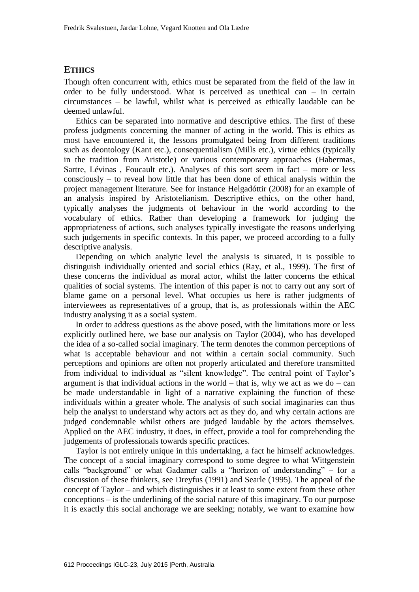#### **ETHICS**

Though often concurrent with, ethics must be separated from the field of the law in order to be fully understood. What is perceived as unethical can – in certain circumstances – be lawful, whilst what is perceived as ethically laudable can be deemed unlawful.

Ethics can be separated into normative and descriptive ethics. The first of these profess judgments concerning the manner of acting in the world. This is ethics as most have encountered it, the lessons promulgated being from different traditions such as deontology (Kant etc.), consequentialism (Mills etc.), virtue ethics (typically in the tradition from Aristotle) or various contemporary approaches (Habermas, Sartre, Lévinas , Foucault etc.). Analyses of this sort seem in fact – more or less consciously – to reveal how little that has been done of ethical analysis within the project management literature. See for instance Helgadóttir (2008) for an example of an analysis inspired by Aristotelianism. Descriptive ethics, on the other hand, typically analyses the judgments of behaviour in the world according to the vocabulary of ethics. Rather than developing a framework for judging the appropriateness of actions, such analyses typically investigate the reasons underlying such judgements in specific contexts. In this paper, we proceed according to a fully descriptive analysis.

Depending on which analytic level the analysis is situated, it is possible to distinguish individually oriented and social ethics (Ray, et al., 1999). The first of these concerns the individual as moral actor, whilst the latter concerns the ethical qualities of social systems. The intention of this paper is not to carry out any sort of blame game on a personal level. What occupies us here is rather judgments of interviewees as representatives of a group, that is, as professionals within the AEC industry analysing it as a social system.

In order to address questions as the above posed, with the limitations more or less explicitly outlined here, we base our analysis on [Taylor \(2004\),](#page-9-2) who has developed the idea of a so-called social imaginary. The term denotes the common perceptions of what is acceptable behaviour and not within a certain social community. Such perceptions and opinions are often not properly articulated and therefore transmitted from individual to individual as "silent knowledge". The central point of Taylor's argument is that individual actions in the world – that is, why we act as we do – can be made understandable in light of a narrative explaining the function of these individuals within a greater whole. The analysis of such social imaginaries can thus help the analyst to understand why actors act as they do, and why certain actions are judged condemnable whilst others are judged laudable by the actors themselves. Applied on the AEC industry, it does, in effect, provide a tool for comprehending the judgements of professionals towards specific practices.

Taylor is not entirely unique in this undertaking, a fact he himself acknowledges. The concept of a social imaginary correspond to some degree to what Wittgenstein calls "background" or what Gadamer calls a "horizon of understanding" – for a discussion of these thinkers, see Dreyfus (1991) and Searle (1995). The appeal of the concept of Taylor – and which distinguishes it at least to some extent from these other conceptions – is the underlining of the social nature of this imaginary. To our purpose it is exactly this social anchorage we are seeking; notably, we want to examine how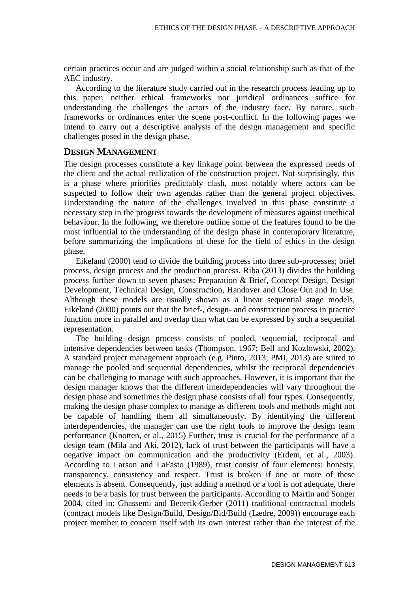certain practices occur and are judged within a social relationship such as that of the AEC industry.

According to the literature study carried out in the research process leading up to this paper, neither ethical frameworks nor juridical ordinances suffice for understanding the challenges the actors of the industry face. By nature, such frameworks or ordinances enter the scene post-conflict. In the following pages we intend to carry out a descriptive analysis of the design management and specific challenges posed in the design phase.

#### **DESIGN MANAGEMENT**

The design processes constitute a key linkage point between the expressed needs of the client and the actual realization of the construction project. Not surprisingly, this is a phase where priorities predictably clash, most notably where actors can be suspected to follow their own agendas rather than the general project objectives. Understanding the nature of the challenges involved in this phase constitute a necessary step in the progress towards the development of measures against unethical behaviour. In the following, we therefore outline some of the features found to be the most influential to the understanding of the design phase in contemporary literature, before summarizing the implications of these for the field of ethics in the design phase.

Eikeland (2000) tend to divide the building process into three sub-processes; brief process, design process and the production process. Riba (2013) divides the building process further down to seven phases; Preparation & Brief, Concept Design, Design Development, Technical Design, Construction, Handover and Close Out and In Use. Although these models are usually shown as a linear sequential stage models, Eikeland (2000) points out that the brief-, design- and construction process in practice function more in parallel and overlap than what can be expressed by such a sequential representation.

The building design process consists of pooled, sequential, reciprocal and intensive dependencies between tasks [\(Thompson, 1967;](#page-9-3) Bell and Kozlowski, 2002). A standard project management approach (e.g. Pinto, 2013; PMI, 2013) are suited to manage the pooled and sequential dependencies, whilst the reciprocal dependencies can be challenging to manage with such approaches. However, it is important that the design manager knows that the different interdependencies will vary throughout the design phase and sometimes the design phase consists of all four types. Consequently, making the design phase complex to manage as different tools and methods might not be capable of handling them all simultaneously. By identifying the different interdependencies, the manager can use the right tools to improve the design team performance (Knotten, et al., 2015) Further, trust is crucial for the performance of a design team (Mila and Aki, 2012), lack of trust between the participants will have a negative impact on communication and the productivity (Erdem, et al., 2003). According to Larson and LaFasto (1989), trust consist of four elements: honesty, transparency, consistency and respect. Trust is broken if one or more of these elements is absent. Consequently, just adding a method or a tool is not adequate, there needs to be a basis for trust between the participants. According to Martin and Songer 2004, cited in: Ghassemi and Becerik-Gerber (2011) traditional contractual models (contract models like Design/Build, Design/Bid/Build (Lædre, 2009)) encourage each project member to concern itself with its own interest rather than the interest of the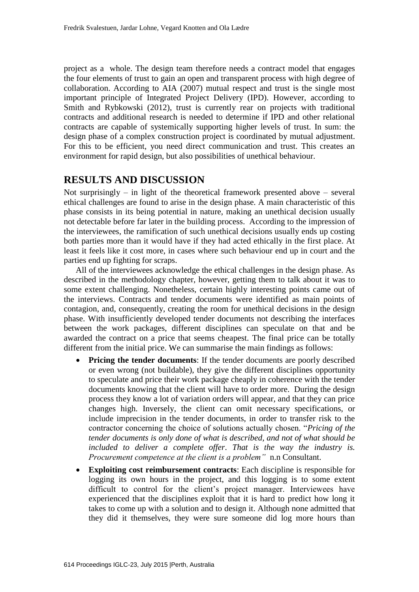project as a whole. The design team therefore needs a contract model that engages the four elements of trust to gain an open and transparent process with high degree of collaboration. According to AIA (2007) mutual respect and trust is the single most important principle of Integrated Project Delivery (IPD). However, according to [Smith and Rybkowski \(2012\),](#page-9-4) trust is currently rear on projects with traditional contracts and additional research is needed to determine if IPD and other relational contracts are capable of systemically supporting higher levels of trust. In sum: the design phase of a complex construction project is coordinated by mutual adjustment. For this to be efficient, you need direct communication and trust. This creates an environment for rapid design, but also possibilities of unethical behaviour.

## **RESULTS AND DISCUSSION**

Not surprisingly – in light of the theoretical framework presented above – several ethical challenges are found to arise in the design phase. A main characteristic of this phase consists in its being potential in nature, making an unethical decision usually not detectable before far later in the building process. According to the impression of the interviewees, the ramification of such unethical decisions usually ends up costing both parties more than it would have if they had acted ethically in the first place. At least it feels like it cost more, in cases where such behaviour end up in court and the parties end up fighting for scraps.

All of the interviewees acknowledge the ethical challenges in the design phase. As described in the methodology chapter, however, getting them to talk about it was to some extent challenging. Nonetheless, certain highly interesting points came out of the interviews. Contracts and tender documents were identified as main points of contagion, and, consequently, creating the room for unethical decisions in the design phase. With insufficiently developed tender documents not describing the interfaces between the work packages, different disciplines can speculate on that and be awarded the contract on a price that seems cheapest. The final price can be totally different from the initial price. We can summarise the main findings as follows:

- **Pricing the tender documents**: If the tender documents are poorly described or even wrong (not buildable), they give the different disciplines opportunity to speculate and price their work package cheaply in coherence with the tender documents knowing that the client will have to order more. During the design process they know a lot of variation orders will appear, and that they can price changes high. Inversely, the client can omit necessary specifications, or include imprecision in the tender documents, in order to transfer risk to the contractor concerning the choice of solutions actually chosen. "*Pricing of the tender documents is only done of what is described, and not of what should be included to deliver a complete offer*. *That is the way the industry is. Procurement competence at the client is a problem"* n.n Consultant.
- **Exploiting cost reimbursement contracts**: Each discipline is responsible for logging its own hours in the project, and this logging is to some extent difficult to control for the client's project manager. Interviewees have experienced that the disciplines exploit that it is hard to predict how long it takes to come up with a solution and to design it. Although none admitted that they did it themselves, they were sure someone did log more hours than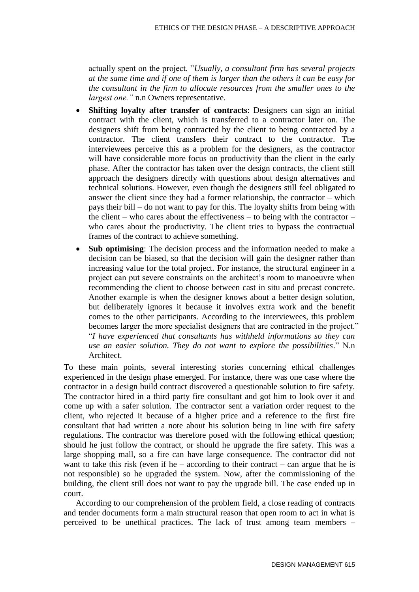actually spent on the project. "*Usually, a consultant firm has several projects at the same time and if one of them is larger than the others it can be easy for the consultant in the firm to allocate resources from the smaller ones to the largest one."* n.n Owners representative.

- **Shifting loyalty after transfer of contracts:** Designers can sign an initial contract with the client, which is transferred to a contractor later on. The designers shift from being contracted by the client to being contracted by a contractor. The client transfers their contract to the contractor. The interviewees perceive this as a problem for the designers, as the contractor will have considerable more focus on productivity than the client in the early phase. After the contractor has taken over the design contracts, the client still approach the designers directly with questions about design alternatives and technical solutions. However, even though the designers still feel obligated to answer the client since they had a former relationship, the contractor – which pays their bill – do not want to pay for this. The loyalty shifts from being with the client – who cares about the effectiveness – to being with the contractor – who cares about the productivity. The client tries to bypass the contractual frames of the contract to achieve something.
- **Sub optimising**: The decision process and the information needed to make a decision can be biased, so that the decision will gain the designer rather than increasing value for the total project. For instance, the structural engineer in a project can put severe constraints on the architect's room to manoeuvre when recommending the client to choose between cast in situ and precast concrete. Another example is when the designer knows about a better design solution, but deliberately ignores it because it involves extra work and the benefit comes to the other participants. According to the interviewees, this problem becomes larger the more specialist designers that are contracted in the project." "*I have experienced that consultants has withheld informations so they can use an easier solution. They do not want to explore the possibilities*." N.n Architect.

To these main points, several interesting stories concerning ethical challenges experienced in the design phase emerged. For instance, there was one case where the contractor in a design build contract discovered a questionable solution to fire safety. The contractor hired in a third party fire consultant and got him to look over it and come up with a safer solution. The contractor sent a variation order request to the client, who rejected it because of a higher price and a reference to the first fire consultant that had written a note about his solution being in line with fire safety regulations. The contractor was therefore posed with the following ethical question; should he just follow the contract, or should he upgrade the fire safety. This was a large shopping mall, so a fire can have large consequence. The contractor did not want to take this risk (even if he – according to their contract – can argue that he is not responsible) so he upgraded the system. Now, after the commissioning of the building, the client still does not want to pay the upgrade bill. The case ended up in court.

According to our comprehension of the problem field, a close reading of contracts and tender documents form a main structural reason that open room to act in what is perceived to be unethical practices. The lack of trust among team members –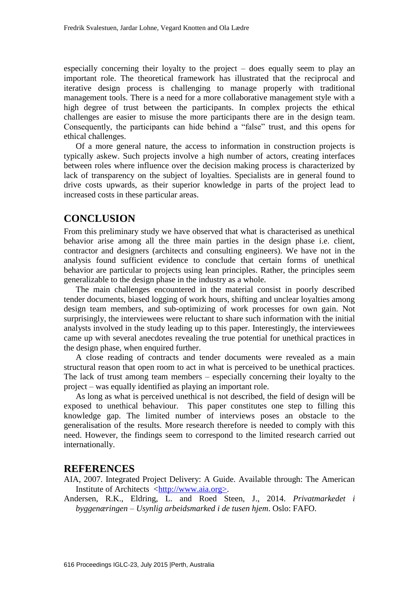especially concerning their loyalty to the project – does equally seem to play an important role. The theoretical framework has illustrated that the reciprocal and iterative design process is challenging to manage properly with traditional management tools. There is a need for a more collaborative management style with a high degree of trust between the participants. In complex projects the ethical challenges are easier to misuse the more participants there are in the design team. Consequently, the participants can hide behind a "false" trust, and this opens for ethical challenges.

Of a more general nature, the access to information in construction projects is typically askew. Such projects involve a high number of actors, creating interfaces between roles where influence over the decision making process is characterized by lack of transparency on the subject of loyalties. Specialists are in general found to drive costs upwards, as their superior knowledge in parts of the project lead to increased costs in these particular areas.

## **CONCLUSION**

From this preliminary study we have observed that what is characterised as unethical behavior arise among all the three main parties in the design phase i.e. client, contractor and designers (architects and consulting engineers). We have not in the analysis found sufficient evidence to conclude that certain forms of unethical behavior are particular to projects using lean principles. Rather, the principles seem generalizable to the design phase in the industry as a whole.

The main challenges encountered in the material consist in poorly described tender documents, biased logging of work hours, shifting and unclear loyalties among design team members, and sub-optimizing of work processes for own gain. Not surprisingly, the interviewees were reluctant to share such information with the initial analysts involved in the study leading up to this paper. Interestingly, the interviewees came up with several anecdotes revealing the true potential for unethical practices in the design phase, when enquired further.

A close reading of contracts and tender documents were revealed as a main structural reason that open room to act in what is perceived to be unethical practices. The lack of trust among team members – especially concerning their loyalty to the project – was equally identified as playing an important role.

As long as what is perceived unethical is not described, the field of design will be exposed to unethical behaviour. This paper constitutes one step to filling this knowledge gap. The limited number of interviews poses an obstacle to the generalisation of the results. More research therefore is needed to comply with this need. However, the findings seem to correspond to the limited research carried out internationally.

#### **REFERENCES**

AIA, 2007. Integrated Project Delivery: A Guide. Available through: The American Institute of Architects [<http://www.aia.org>](http://www.aia.org/).

Andersen, R.K., Eldring, L. and Roed Steen, J., 2014. *Privatmarkedet i byggenæringen – Usynlig arbeidsmarked i de tusen hjem*. Oslo: FAFO.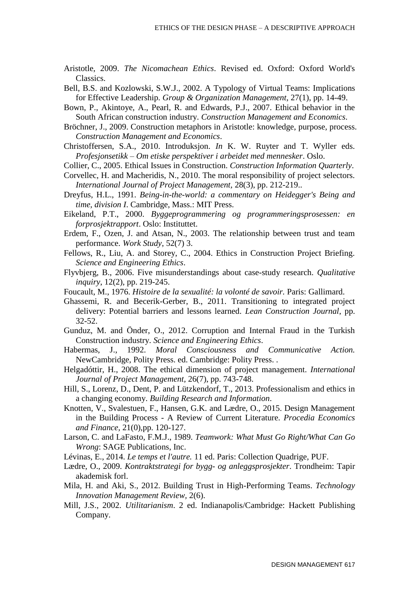- Aristotle, 2009. *The Nicomachean Ethics*. Revised ed. Oxford: Oxford World's Classics.
- Bell, B.S. and Kozlowski, S.W.J., 2002. A Typology of Virtual Teams: Implications for Effective Leadership. *Group & Organization Management*, 27(1), pp. 14-49.
- Bown, P., Akintoye, A., Pearl, R. and Edwards, P.J., 2007. Ethical behavior in the South African construction industry. *Construction Management and Economics*.
- Bröchner, J., 2009. Construction metaphors in Aristotle: knowledge, purpose, process. *Construction Management and Economics*.
- Christoffersen, S.A., 2010. Introduksjon. *In* K. W. Ruyter and T. Wyller eds. *Profesjonsetikk – Om etiske perspektiver i arbeidet med mennesker*. Oslo.
- Collier, C., 2005. Ethical Issues in Construction. *Construction Information Quarterly*.
- Corvellec, H. and Macheridis, N., 2010. The moral responsibility of project selectors. *International Journal of Project Management,* 28(3), pp. 212-219..
- Dreyfus, H.L., 1991. *Being-in-the-world: a commentary on Heidegger's Being and time, division I*. Cambridge, Mass.: MIT Press.
- Eikeland, P.T., 2000. *Byggeprogrammering og programmeringsprosessen: en forprosjektrapport*. Oslo: Instituttet.
- Erdem, F., Ozen, J. and Atsan, N., 2003. The relationship between trust and team performance. *Work Study*, 52(7) 3.
- Fellows, R., Liu, A. and Storey, C., 2004. Ethics in Construction Project Briefing. *Science and Engineering Ethics*.
- Flyvbjerg, B., 2006. Five misunderstandings about case-study research. *Qualitative inquiry*, 12(2), pp. 219-245.
- Foucault, M., 1976. *Histoire de la sexualité: la volonté de savoir.* Paris: Gallimard.
- Ghassemi, R. and Becerik-Gerber, B., 2011. Transitioning to integrated project delivery: Potential barriers and lessons learned. *Lean Construction Journal*, pp. 32-52.
- Gunduz, M. and Önder, O., 2012. Corruption and Internal Fraud in the Turkish Construction industry. *Science and Engineering Ethics*.
- Habermas, J., 1992. *Moral Consciousness and Communicative Action.* NewCambridge, Polity Press. ed. Cambridge: Polity Press. .
- Helgadóttir, H., 2008. The ethical dimension of project management. *International Journal of Project Management,* 26(7), pp. 743-748.
- Hill, S., Lorenz, D., Dent, P. and Lützkendorf, T., 2013. Professionalism and ethics in a changing economy. *Building Research and Information*.
- Knotten, V., Svalestuen, F., Hansen, G.K. and Lædre, O., 2015. Design Management in the Building Process - A Review of Current Literature. *Procedia Economics and Finance,* 21(0),pp. 120-127.
- Larson, C. and LaFasto, F.M.J., 1989. *Teamwork: What Must Go Right/What Can Go Wrong*: SAGE Publications, Inc.
- Lévinas, E., 2014. *Le temps et l'autre.* 11 ed. Paris: Collection Quadrige, PUF.
- Lædre, O., 2009. *Kontraktstrategi for bygg- og anleggsprosjekter*. Trondheim: Tapir akademisk forl.
- Mila, H. and Aki, S., 2012. Building Trust in High-Performing Teams. *Technology Innovation Management Review,* 2(6).
- Mill, J.S., 2002. *Utilitarianism*. 2 ed. Indianapolis/Cambridge: Hackett Publishing Company.